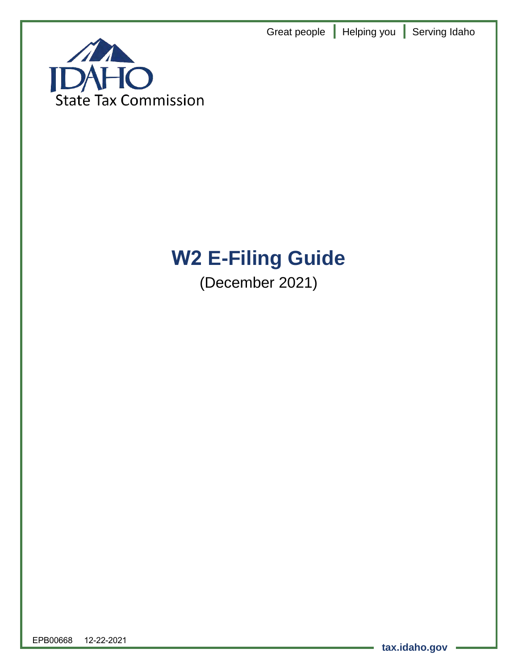Great people **|** Helping you **|** Serving Idaho



# **W2 E-Filing Guide**

(December 2021)

EPB00668 12-22-2021

**tax.idaho.gov**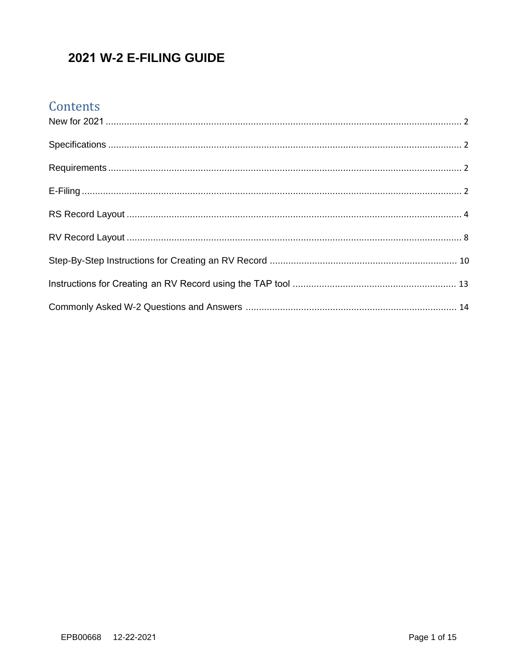## 2021 W-2 E-FILING GUIDE

## Contents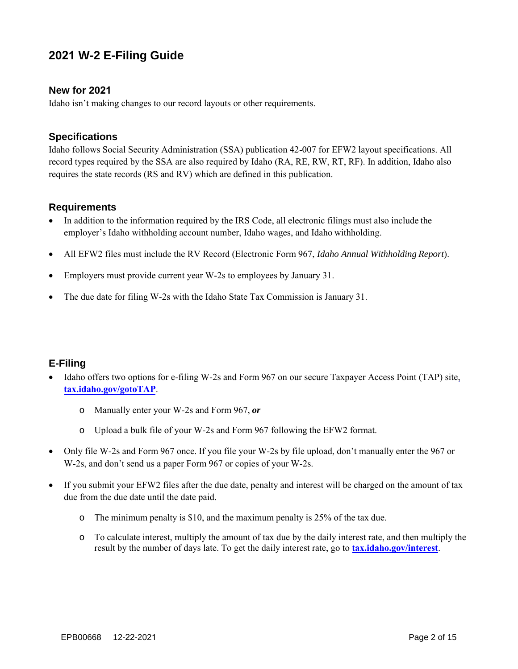### **2021 W-2 E-Filing Guide**

#### <span id="page-2-0"></span>**New for 2021**

Idaho isn't making changes to our record layouts or other requirements.

#### <span id="page-2-1"></span>**Specifications**

Idaho follows Social Security Administration (SSA) publication 42-007 for EFW2 layout specifications. All record types required by the SSA are also required by Idaho (RA, RE, RW, RT, RF). In addition, Idaho also requires the state records (RS and RV) which are defined in this publication.

#### <span id="page-2-2"></span>**Requirements**

- In addition to the information required by the IRS Code, all electronic filings must also include the employer's Idaho withholding account number, Idaho wages, and Idaho withholding.
- All EFW2 files must include the RV Record (Electronic Form 967, *Idaho Annual Withholding Report*).
- Employers must provide current year W-2s to employees by January 31.
- The due date for filing W-2s with the Idaho State Tax Commission is January 31.

#### <span id="page-2-3"></span>**E-Filing**

- Idaho offers two options for e-filing W-2s and Form 967 on our secure Taxpayer Access Point (TAP) site, **[tax.idaho.gov/gotoTAP](http://tax.idaho.gov/gotoTAP)**.
	- o Manually enter your W-2s and Form 967, *or*
	- o Upload a bulk file of your W-2s and Form 967 following the EFW2 format.
- Only file W-2s and Form 967 once. If you file your W-2s by file upload, don't manually enter the 967 or W-2s, and don't send us a paper Form 967 or copies of your W-2s.
- If you submit your EFW2 files after the due date, penalty and interest will be charged on the amount of tax due from the due date until the date paid.
	- o The minimum penalty is \$10, and the maximum penalty is 25% of the tax due.
	- o To calculate interest, multiply the amount of tax due by the daily interest rate, and then multiply the result by the number of days late. To get the daily interest rate, go to **[tax.idaho.gov/interest](https://tax.idaho.gov/interest)**.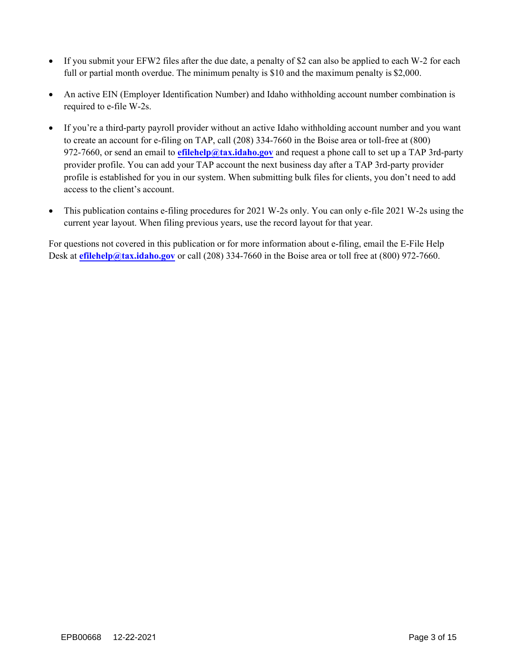- If you submit your EFW2 files after the due date, a penalty of \$2 can also be applied to each W-2 for each full or partial month overdue. The minimum penalty is \$10 and the maximum penalty is \$2,000.
- An active EIN (Employer Identification Number) and Idaho withholding account number combination is required to e-file W-2s.
- If you're a third-party payroll provider without an active Idaho withholding account number and you want to create an account for e-filing on TAP, call (208) 334-7660 in the Boise area or toll-free at (800) 972-7660, or send an email to **[efilehelp@tax.idaho.gov](mailto:efilehelp@tax.idaho.gov)** and request a phone call to set up a TAP 3rd-party provider profile. You can add your TAP account the next business day after a TAP 3rd-party provider profile is established for you in our system. When submitting bulk files for clients, you don't need to add access to the client's account.
- This publication contains e-filing procedures for 2021 W-2s only. You can only e-file 2021 W-2s using the current year layout. When filing previous years, use the record layout for that year.

For questions not covered in this publication or for more information about e-filing, email the E-File Help Desk at **[efilehelp@tax.idaho.gov](mailto:efilehelp@tax.idaho.gov)** or call (208) 334-7660 in the Boise area or toll free at (800) 972-7660.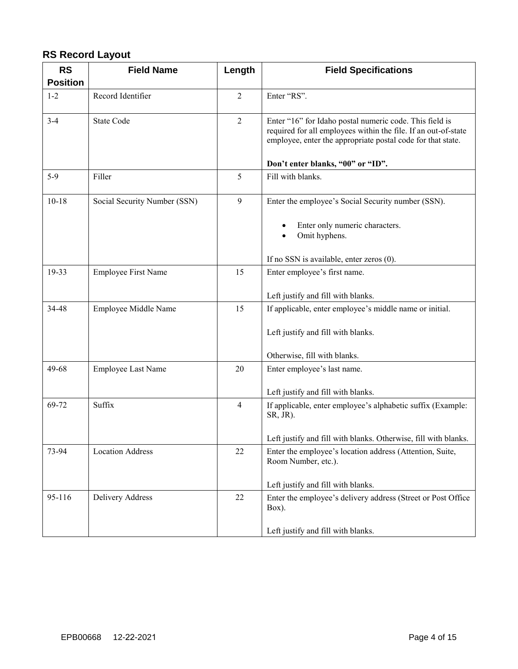#### <span id="page-4-0"></span>**RS Record Layout**

| <b>RS</b>       | <b>Field Name</b>            | Length         | <b>Field Specifications</b>                                                                                                                                                                                                   |
|-----------------|------------------------------|----------------|-------------------------------------------------------------------------------------------------------------------------------------------------------------------------------------------------------------------------------|
| <b>Position</b> |                              |                |                                                                                                                                                                                                                               |
| $1 - 2$         | Record Identifier            | $\overline{2}$ | Enter "RS".                                                                                                                                                                                                                   |
| $3 - 4$         | <b>State Code</b>            | $\overline{2}$ | Enter "16" for Idaho postal numeric code. This field is<br>required for all employees within the file. If an out-of-state<br>employee, enter the appropriate postal code for that state.<br>Don't enter blanks, "00" or "ID". |
| 5-9             | Filler                       | 5              | Fill with blanks.                                                                                                                                                                                                             |
|                 |                              |                |                                                                                                                                                                                                                               |
| $10-18$         | Social Security Number (SSN) | 9              | Enter the employee's Social Security number (SSN).<br>Enter only numeric characters.<br>Omit hyphens.                                                                                                                         |
|                 |                              |                | If no SSN is available, enter zeros (0).                                                                                                                                                                                      |
| 19-33           | <b>Employee First Name</b>   | 15             | Enter employee's first name.                                                                                                                                                                                                  |
|                 |                              |                | Left justify and fill with blanks.                                                                                                                                                                                            |
| 34-48           | Employee Middle Name         | 15             | If applicable, enter employee's middle name or initial.                                                                                                                                                                       |
|                 |                              |                | Left justify and fill with blanks.                                                                                                                                                                                            |
|                 |                              |                | Otherwise, fill with blanks.                                                                                                                                                                                                  |
| 49-68           | Employee Last Name           | 20             | Enter employee's last name.                                                                                                                                                                                                   |
|                 |                              |                | Left justify and fill with blanks.                                                                                                                                                                                            |
| 69-72           | Suffix                       | $\overline{4}$ | If applicable, enter employee's alphabetic suffix (Example:<br>SR, JR).                                                                                                                                                       |
|                 |                              |                | Left justify and fill with blanks. Otherwise, fill with blanks.                                                                                                                                                               |
| 73-94           | <b>Location Address</b>      | 22             | Enter the employee's location address (Attention, Suite,<br>Room Number, etc.).                                                                                                                                               |
|                 |                              |                | Left justify and fill with blanks.                                                                                                                                                                                            |
| 95-116          | Delivery Address             | 22             | Enter the employee's delivery address (Street or Post Office<br>Box).                                                                                                                                                         |
|                 |                              |                | Left justify and fill with blanks.                                                                                                                                                                                            |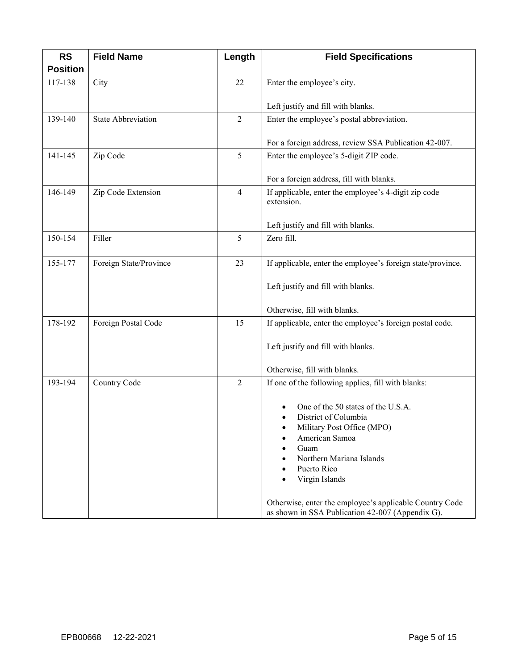| <b>RS</b>                  | <b>Field Name</b>         | Length         | <b>Field Specifications</b>                                        |
|----------------------------|---------------------------|----------------|--------------------------------------------------------------------|
| <b>Position</b><br>117-138 | City                      | 22             | Enter the employee's city.                                         |
|                            |                           |                |                                                                    |
|                            |                           |                | Left justify and fill with blanks.                                 |
| 139-140                    | <b>State Abbreviation</b> | $\overline{2}$ | Enter the employee's postal abbreviation.                          |
|                            |                           |                | For a foreign address, review SSA Publication 42-007.              |
| 141-145                    | Zip Code                  | 5              | Enter the employee's 5-digit ZIP code.                             |
|                            |                           |                |                                                                    |
|                            |                           |                | For a foreign address, fill with blanks.                           |
| 146-149                    | Zip Code Extension        | $\overline{4}$ | If applicable, enter the employee's 4-digit zip code<br>extension. |
|                            |                           |                |                                                                    |
|                            |                           |                | Left justify and fill with blanks.                                 |
| 150-154                    | Filler                    | 5              | Zero fill.                                                         |
|                            |                           |                |                                                                    |
| 155-177                    | Foreign State/Province    | 23             | If applicable, enter the employee's foreign state/province.        |
|                            |                           |                | Left justify and fill with blanks.                                 |
|                            |                           |                |                                                                    |
|                            |                           |                | Otherwise, fill with blanks.                                       |
| 178-192                    | Foreign Postal Code       | 15             | If applicable, enter the employee's foreign postal code.           |
|                            |                           |                | Left justify and fill with blanks.                                 |
|                            |                           |                |                                                                    |
|                            |                           |                | Otherwise, fill with blanks.                                       |
| 193-194                    | Country Code              | $\overline{2}$ | If one of the following applies, fill with blanks:                 |
|                            |                           |                | One of the 50 states of the U.S.A.                                 |
|                            |                           |                | District of Columbia                                               |
|                            |                           |                | Military Post Office (MPO)                                         |
|                            |                           |                | American Samoa<br>Guam                                             |
|                            |                           |                | Northern Mariana Islands                                           |
|                            |                           |                | Puerto Rico                                                        |
|                            |                           |                | Virgin Islands                                                     |
|                            |                           |                | Otherwise, enter the employee's applicable Country Code            |
|                            |                           |                | as shown in SSA Publication 42-007 (Appendix G).                   |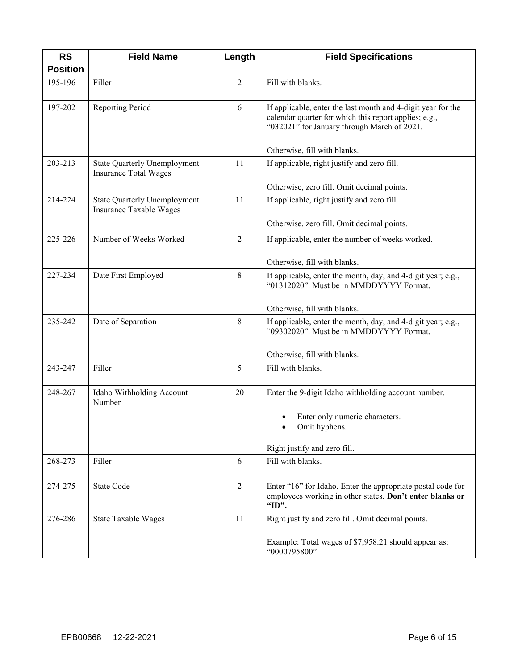| <b>RS</b>       | <b>Field Name</b>                                                   | Length         | <b>Field Specifications</b>                                                                                                                                          |
|-----------------|---------------------------------------------------------------------|----------------|----------------------------------------------------------------------------------------------------------------------------------------------------------------------|
| <b>Position</b> |                                                                     |                |                                                                                                                                                                      |
| 195-196         | Filler                                                              | $\overline{2}$ | Fill with blanks.                                                                                                                                                    |
| 197-202         | <b>Reporting Period</b>                                             | 6              | If applicable, enter the last month and 4-digit year for the<br>calendar quarter for which this report applies; e.g.,<br>"032021" for January through March of 2021. |
|                 |                                                                     |                | Otherwise, fill with blanks.                                                                                                                                         |
| 203-213         | <b>State Quarterly Unemployment</b><br><b>Insurance Total Wages</b> | 11             | If applicable, right justify and zero fill.                                                                                                                          |
|                 |                                                                     |                | Otherwise, zero fill. Omit decimal points.                                                                                                                           |
| 214-224         | <b>State Quarterly Unemployment</b><br>Insurance Taxable Wages      | 11             | If applicable, right justify and zero fill.                                                                                                                          |
|                 |                                                                     |                | Otherwise, zero fill. Omit decimal points.                                                                                                                           |
| 225-226         | Number of Weeks Worked                                              | $\overline{2}$ | If applicable, enter the number of weeks worked.                                                                                                                     |
|                 |                                                                     |                | Otherwise, fill with blanks.                                                                                                                                         |
| 227-234         | Date First Employed                                                 | 8              | If applicable, enter the month, day, and 4-digit year; e.g.,<br>"01312020". Must be in MMDDYYYY Format.                                                              |
|                 |                                                                     |                | Otherwise, fill with blanks.                                                                                                                                         |
| 235-242         | Date of Separation                                                  | 8              | If applicable, enter the month, day, and 4-digit year; e.g.,<br>"09302020". Must be in MMDDYYYY Format.                                                              |
|                 |                                                                     |                | Otherwise, fill with blanks.                                                                                                                                         |
| 243-247         | Filler                                                              | 5              | Fill with blanks.                                                                                                                                                    |
| 248-267         | Idaho Withholding Account<br>Number                                 | 20             | Enter the 9-digit Idaho withholding account number.                                                                                                                  |
|                 |                                                                     |                | Enter only numeric characters.<br>Omit hyphens.                                                                                                                      |
|                 |                                                                     |                | Right justify and zero fill.                                                                                                                                         |
| 268-273         | Filler                                                              | 6              | Fill with blanks.                                                                                                                                                    |
| 274-275         | State Code                                                          | $\overline{2}$ | Enter "16" for Idaho. Enter the appropriate postal code for<br>employees working in other states. Don't enter blanks or<br>"ID".                                     |
| 276-286         | <b>State Taxable Wages</b>                                          | 11             | Right justify and zero fill. Omit decimal points.                                                                                                                    |
|                 |                                                                     |                | Example: Total wages of \$7,958.21 should appear as:<br>"0000795800"                                                                                                 |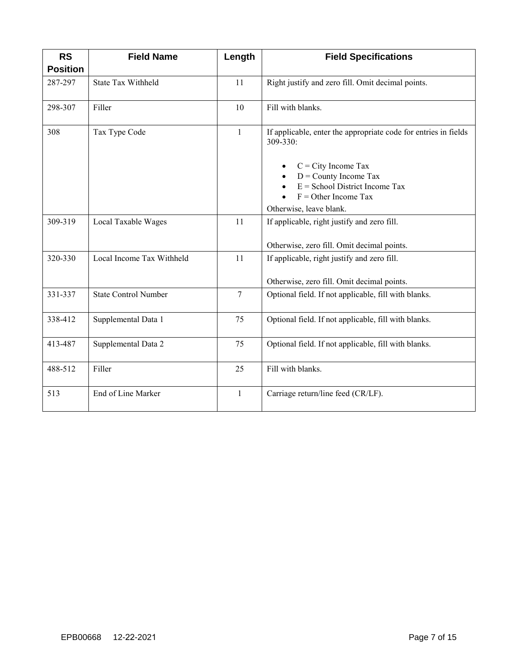| <b>RS</b><br><b>Position</b> | <b>Field Name</b>           | Length         | <b>Field Specifications</b>                                                                                                                                                                                              |
|------------------------------|-----------------------------|----------------|--------------------------------------------------------------------------------------------------------------------------------------------------------------------------------------------------------------------------|
| 287-297                      | State Tax Withheld          | 11             | Right justify and zero fill. Omit decimal points.                                                                                                                                                                        |
| 298-307                      | Filler                      | 10             | Fill with blanks.                                                                                                                                                                                                        |
| 308                          | Tax Type Code               | $\mathbf{1}$   | If applicable, enter the appropriate code for entries in fields<br>309-330:<br>$C = City$ Income Tax<br>$D =$ County Income Tax<br>$E =$ School District Income Tax<br>$F =$ Other Income Tax<br>Otherwise, leave blank. |
| 309-319                      | Local Taxable Wages         | 11             | If applicable, right justify and zero fill.<br>Otherwise, zero fill. Omit decimal points.                                                                                                                                |
| 320-330                      | Local Income Tax Withheld   | 11             | If applicable, right justify and zero fill.<br>Otherwise, zero fill. Omit decimal points.                                                                                                                                |
| 331-337                      | <b>State Control Number</b> | $\overline{7}$ | Optional field. If not applicable, fill with blanks.                                                                                                                                                                     |
| 338-412                      | Supplemental Data 1         | 75             | Optional field. If not applicable, fill with blanks.                                                                                                                                                                     |
| 413-487                      | Supplemental Data 2         | 75             | Optional field. If not applicable, fill with blanks.                                                                                                                                                                     |
| 488-512                      | Filler                      | 25             | Fill with blanks.                                                                                                                                                                                                        |
| 513                          | End of Line Marker          | $\mathbf{1}$   | Carriage return/line feed (CR/LF).                                                                                                                                                                                       |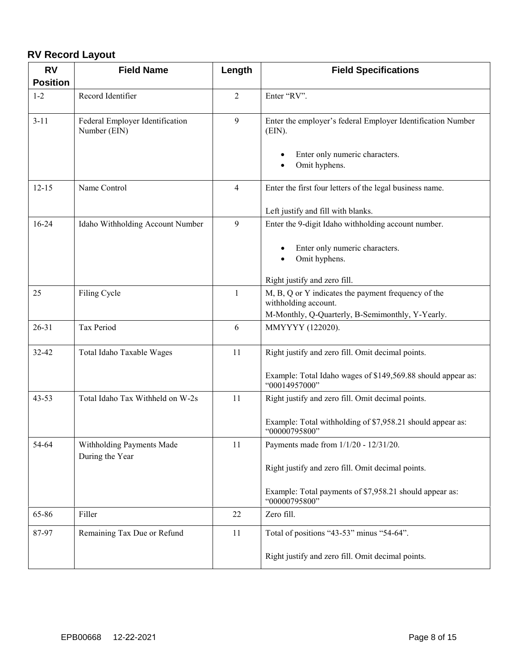#### <span id="page-8-0"></span>**RV Record Layout**

| <b>RV</b>       | <b>Field Name</b>                               | Length         | <b>Field Specifications</b>                                                   |
|-----------------|-------------------------------------------------|----------------|-------------------------------------------------------------------------------|
| <b>Position</b> |                                                 |                |                                                                               |
| $1 - 2$         | Record Identifier                               | $\overline{2}$ | Enter "RV".                                                                   |
| $3 - 11$        | Federal Employer Identification<br>Number (EIN) | 9              | Enter the employer's federal Employer Identification Number<br>$(EIN)$ .      |
|                 |                                                 |                | Enter only numeric characters.<br>Omit hyphens.                               |
| $12 - 15$       | Name Control                                    | $\overline{4}$ | Enter the first four letters of the legal business name.                      |
|                 |                                                 |                | Left justify and fill with blanks.                                            |
| $16 - 24$       | Idaho Withholding Account Number                | 9              | Enter the 9-digit Idaho withholding account number.                           |
|                 |                                                 |                | Enter only numeric characters.<br>Omit hyphens.                               |
|                 |                                                 |                | Right justify and zero fill.                                                  |
| 25              | Filing Cycle                                    | $\mathbf{1}$   | M, B, Q or Y indicates the payment frequency of the<br>withholding account.   |
|                 |                                                 |                | M-Monthly, Q-Quarterly, B-Semimonthly, Y-Yearly.                              |
| $26 - 31$       | Tax Period                                      | 6              | MMYYYY (122020).                                                              |
| 32-42           | Total Idaho Taxable Wages                       | 11             | Right justify and zero fill. Omit decimal points.                             |
|                 |                                                 |                | Example: Total Idaho wages of \$149,569.88 should appear as:<br>"00014957000" |
| $43 - 53$       | Total Idaho Tax Withheld on W-2s                | 11             | Right justify and zero fill. Omit decimal points.                             |
|                 |                                                 |                | Example: Total withholding of \$7,958.21 should appear as:<br>"00000795800"   |
| 54-64           | Withholding Payments Made<br>During the Year    | 11             | Payments made from 1/1/20 - 12/31/20.                                         |
|                 |                                                 |                | Right justify and zero fill. Omit decimal points.                             |
|                 |                                                 |                | Example: Total payments of \$7,958.21 should appear as:<br>"00000795800"      |
| 65-86           | Filler                                          | 22             | Zero fill.                                                                    |
| 87-97           | Remaining Tax Due or Refund                     | 11             | Total of positions "43-53" minus "54-64".                                     |
|                 |                                                 |                | Right justify and zero fill. Omit decimal points.                             |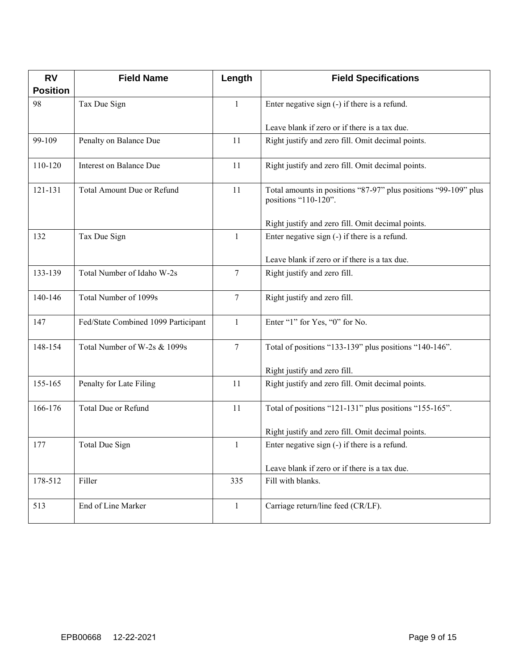| <b>RV</b>       | <b>Field Name</b>                   | Length         | <b>Field Specifications</b>                                                             |
|-----------------|-------------------------------------|----------------|-----------------------------------------------------------------------------------------|
| <b>Position</b> |                                     |                |                                                                                         |
| 98              | Tax Due Sign                        | $\mathbf{1}$   | Enter negative sign (-) if there is a refund.                                           |
|                 |                                     |                | Leave blank if zero or if there is a tax due.                                           |
| 99-109          | Penalty on Balance Due              | 11             | Right justify and zero fill. Omit decimal points.                                       |
| 110-120         | Interest on Balance Due             | 11             | Right justify and zero fill. Omit decimal points.                                       |
| 121-131         | Total Amount Due or Refund          | 11             | Total amounts in positions "87-97" plus positions "99-109" plus<br>positions "110-120". |
|                 |                                     |                | Right justify and zero fill. Omit decimal points.                                       |
| 132             | Tax Due Sign                        | 1              | Enter negative sign (-) if there is a refund.                                           |
|                 |                                     |                | Leave blank if zero or if there is a tax due.                                           |
| 133-139         | Total Number of Idaho W-2s          | $\overline{7}$ | Right justify and zero fill.                                                            |
| 140-146         | Total Number of 1099s               | $\overline{7}$ | Right justify and zero fill.                                                            |
| 147             | Fed/State Combined 1099 Participant | $\mathbf{1}$   | Enter "1" for Yes, "0" for No.                                                          |
| 148-154         | Total Number of W-2s & 1099s        | $\tau$         | Total of positions "133-139" plus positions "140-146".                                  |
|                 |                                     |                | Right justify and zero fill.                                                            |
| 155-165         | Penalty for Late Filing             | 11             | Right justify and zero fill. Omit decimal points.                                       |
| 166-176         | Total Due or Refund                 | 11             | Total of positions "121-131" plus positions "155-165".                                  |
|                 |                                     |                | Right justify and zero fill. Omit decimal points.                                       |
| 177             | Total Due Sign                      | $\mathbf{1}$   | Enter negative sign (-) if there is a refund.                                           |
|                 |                                     |                | Leave blank if zero or if there is a tax due.                                           |
| 178-512         | Filler                              | 335            | Fill with blanks.                                                                       |
| 513             | End of Line Marker                  | $\mathbf{1}$   | Carriage return/line feed (CR/LF).                                                      |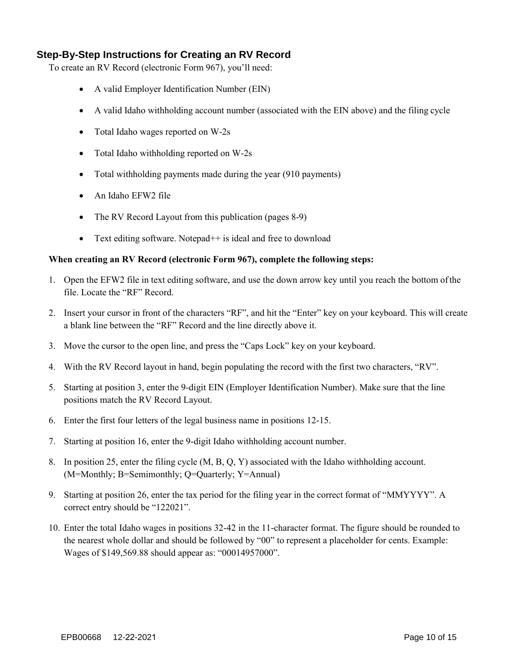#### <span id="page-10-0"></span>**Step-By-Step Instructions for Creating an RV Record**

To create an RV Record (electronic Form 967), you'll need:

- A valid Employer Identification Number (EIN)
- A valid Idaho withholding account number (associated with the EIN above) and the filing cycle
- Total Idaho wages reported on W-2s
- Total Idaho withholding reported on W-2s
- Total withholding payments made during the year (910 payments)
- An Idaho EFW2 file
- The RV Record Layout from this publication (pages 8-9)
- Text editing software. Notepad $++$  is ideal and free to download

#### **When creating an RV Record (electronic Form 967), complete the following steps:**

- 1. Open the EFW2 file in text editing software, and use the down arrow key until you reach the bottom of the file. Locate the "RF" Record.
- 2. Insert your cursor in front of the characters "RF", and hit the "Enter" key on your keyboard. This will create a blank line between the "RF" Record and the line directly above it.
- 3. Move the cursor to the open line, and press the "Caps Lock" key on your keyboard.
- 4. With the RV Record layout in hand, begin populating the record with the first two characters, "RV".
- 5. Starting at position 3, enter the 9-digit EIN (Employer Identification Number). Make sure that the line positions match the RV Record Layout.
- 6. Enter the first four letters of the legal business name in positions 12-15.
- 7. Starting at position 16, enter the 9-digit Idaho withholding account number.
- 8. In position 25, enter the filing cycle (M, B, Q, Y) associated with the Idaho withholding account. (M=Monthly; B=Semimonthly; Q=Quarterly; Y=Annual)
- 9. Starting at position 26, enter the tax period for the filing year in the correct format of "MMYYYY". A correct entry should be "122021".
- 10. Enter the total Idaho wages in positions 32-42 in the 11-character format. The figure should be rounded to the nearest whole dollar and should be followed by "00" to represent a placeholder for cents. Example: Wages of \$149,569.88 should appear as: "00014957000".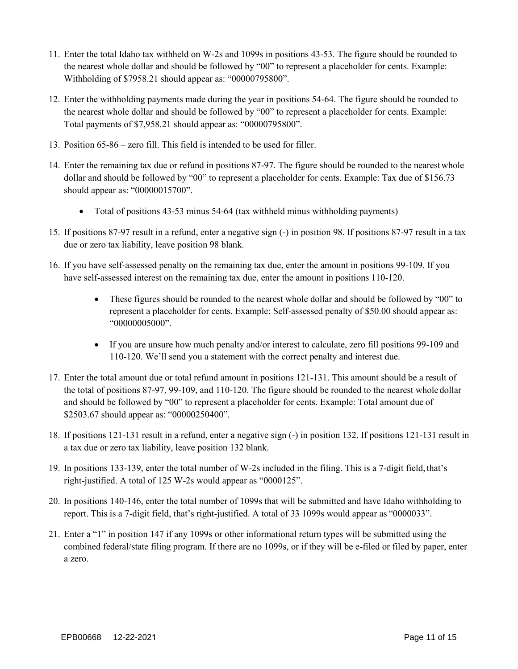- 11. Enter the total Idaho tax withheld on W-2s and 1099s in positions 43-53. The figure should be rounded to the nearest whole dollar and should be followed by "00" to represent a placeholder for cents. Example: Withholding of \$7958.21 should appear as: "00000795800".
- 12. Enter the withholding payments made during the year in positions 54-64. The figure should be rounded to the nearest whole dollar and should be followed by "00" to represent a placeholder for cents. Example: Total payments of \$7,958.21 should appear as: "00000795800".
- 13. Position 65-86 zero fill. This field is intended to be used for filler.
- 14. Enter the remaining tax due or refund in positions 87-97. The figure should be rounded to the nearestwhole dollar and should be followed by "00" to represent a placeholder for cents. Example: Tax due of \$156.73 should appear as: "00000015700".
	- Total of positions 43-53 minus 54-64 (tax withheld minus withholding payments)
- 15. If positions 87-97 result in a refund, enter a negative sign (-) in position 98. If positions 87-97 result in a tax due or zero tax liability, leave position 98 blank.
- 16. If you have self-assessed penalty on the remaining tax due, enter the amount in positions 99-109. If you have self-assessed interest on the remaining tax due, enter the amount in positions 110-120.
	- These figures should be rounded to the nearest whole dollar and should be followed by "00" to represent a placeholder for cents. Example: Self-assessed penalty of \$50.00 should appear as: "00000005000".
	- If you are unsure how much penalty and/or interest to calculate, zero fill positions 99-109 and 110-120. We'll send you a statement with the correct penalty and interest due.
- 17. Enter the total amount due or total refund amount in positions 121-131. This amount should be a result of the total of positions 87-97, 99-109, and 110-120. The figure should be rounded to the nearest wholedollar and should be followed by "00" to represent a placeholder for cents. Example: Total amount due of \$2503.67 should appear as: "00000250400".
- 18. If positions 121-131 result in a refund, enter a negative sign (-) in position 132. If positions 121-131 result in a tax due or zero tax liability, leave position 132 blank.
- 19. In positions 133-139, enter the total number of W-2s included in the filing. This is a 7-digit field,that's right-justified. A total of 125 W-2s would appear as "0000125".
- 20. In positions 140-146, enter the total number of 1099s that will be submitted and have Idaho withholding to report. This is a 7-digit field, that's right-justified. A total of 33 1099s would appear as "0000033".
- 21. Enter a "1" in position 147 if any 1099s or other informational return types will be submitted using the combined federal/state filing program. If there are no 1099s, or if they will be e-filed or filed by paper, enter a zero.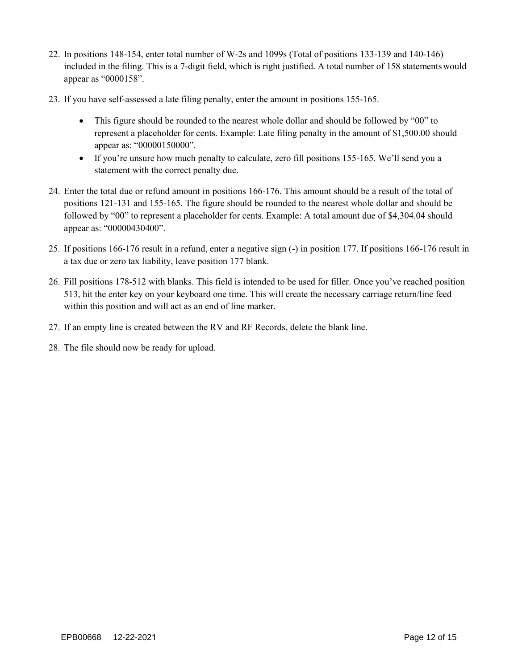- 22. In positions 148-154, enter total number of W-2s and 1099s (Total of positions 133-139 and 140-146) included in the filing. This is a 7-digit field, which is right justified. A total number of 158 statementswould appear as "0000158".
- 23. If you have self-assessed a late filing penalty, enter the amount in positions 155-165.
	- This figure should be rounded to the nearest whole dollar and should be followed by "00" to represent a placeholder for cents. Example: Late filing penalty in the amount of \$1,500.00 should appear as: "00000150000".
	- If you're unsure how much penalty to calculate, zero fill positions 155-165. We'll send you a statement with the correct penalty due.
- 24. Enter the total due or refund amount in positions 166-176. This amount should be a result of the total of positions 121-131 and 155-165. The figure should be rounded to the nearest whole dollar and should be followed by "00" to represent a placeholder for cents. Example: A total amount due of \$4,304.04 should appear as: "00000430400".
- 25. If positions 166-176 result in a refund, enter a negative sign (-) in position 177. If positions 166-176 result in a tax due or zero tax liability, leave position 177 blank.
- 26. Fill positions 178-512 with blanks. This field is intended to be used for filler. Once you've reached position 513, hit the enter key on your keyboard one time. This will create the necessary carriage return/line feed within this position and will act as an end of line marker.
- 27. If an empty line is created between the RV and RF Records, delete the blank line.
- 28. The file should now be ready for upload.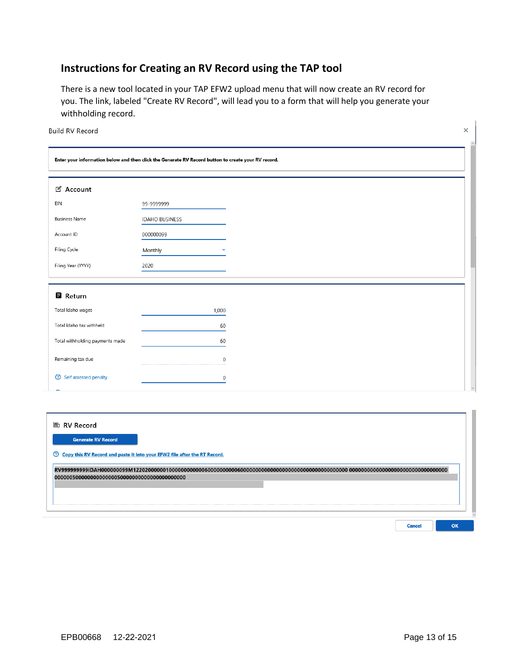#### **Instructions for Creating an RV Record using the TAP tool**

There is a new tool located in your TAP EFW2 upload menu that will now create an RV record for you. The link, labeled "Create RV Record", will lead you to a form that will help you generate your withholding record.

|  | <b>Build RV Record</b> |
|--|------------------------|
|  |                        |

|                                 | Enter your information below and then click the Generate RV Record button to create your RV record. |
|---------------------------------|-----------------------------------------------------------------------------------------------------|
| <b>名 Account</b>                |                                                                                                     |
| EIN                             | 99-9999999                                                                                          |
| <b>Business Name</b>            | <b>IDAHO BUSINESS</b>                                                                               |
| Account ID                      | 000000099                                                                                           |
| Filing Cycle                    | Monthly<br>$\checkmark$                                                                             |
| Filing Year (YYYY)              | 2020                                                                                                |
|                                 |                                                                                                     |
| 自 Return                        |                                                                                                     |
| Total Idaho wages               | 1,000                                                                                               |
| Total Idaho tax withheld        | 60                                                                                                  |
| Total withholding payments made | 60                                                                                                  |
| Remaining tax due               | $\mathbf 0$                                                                                         |
| <b>2</b> Self assessed penalty  | $\boldsymbol{0}$                                                                                    |

| <b>A</b> RV Record                                                          |  |
|-----------------------------------------------------------------------------|--|
| <b>Generate RV Record</b>                                                   |  |
| 2 Copy this RV Record and paste it into your EFW2 file after the RT Record. |  |
|                                                                             |  |
|                                                                             |  |
|                                                                             |  |
|                                                                             |  |

 $\times$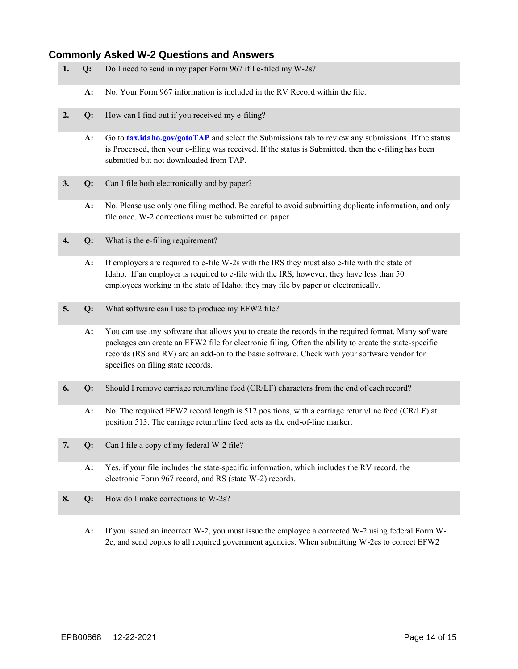#### <span id="page-14-0"></span>**Commonly Asked W-2 Questions and Answers**

- **1. Q:** Do I need to send in my paper Form 967 if I e-filed my W-2s?
	- **A:** No. Your Form 967 information is included in the RV Record within the file.
- **2. Q:** How can I find out if you received my e-filing?
	- **A:** Go to **[tax.idaho.gov/gotoTAP](https://tax.idaho.gov/gotoTAP)** and select the Submissions tab to review any submissions. If the status is Processed, then your e-filing was received. If the status is Submitted, then the e-filing has been submitted but not downloaded from TAP.
- **3. Q:** Can I file both electronically and by paper?
	- **A:** No. Please use only one filing method. Be careful to avoid submitting duplicate information, and only file once. W-2 corrections must be submitted on paper.
- **4. Q:** What is the e-filing requirement?
	- **A:** If employers are required to e-file W-2s with the IRS they must also e-file with the state of Idaho. If an employer is required to e-file with the IRS, however, they have less than 50 employees working in the state of Idaho; they may file by paper or electronically.
- **5. Q:** What software can I use to produce my EFW2 file?
	- **A:** You can use any software that allows you to create the records in the required format. Many software packages can create an EFW2 file for electronic filing. Often the ability to create the state-specific records (RS and RV) are an add-on to the basic software. Check with your software vendor for specifics on filing state records.
- **6. Q:** Should I remove carriage return/line feed (CR/LF) characters from the end of each record?
	- **A:** No. The required EFW2 record length is 512 positions, with a carriage return/line feed (CR/LF) at position 513. The carriage return/line feed acts as the end-of-line marker.
- **7. Q:** Can I file a copy of my federal W-2 file?
	- **A:** Yes, if your file includes the state-specific information, which includes the RV record, the electronic Form 967 record, and RS (state W-2) records.
- **8. Q:** How do I make corrections to W-2s?
	- **A:** If you issued an incorrect W-2, you must issue the employee a corrected W-2 using federal Form W-2c, and send copies to all required government agencies. When submitting W-2cs to correct EFW2